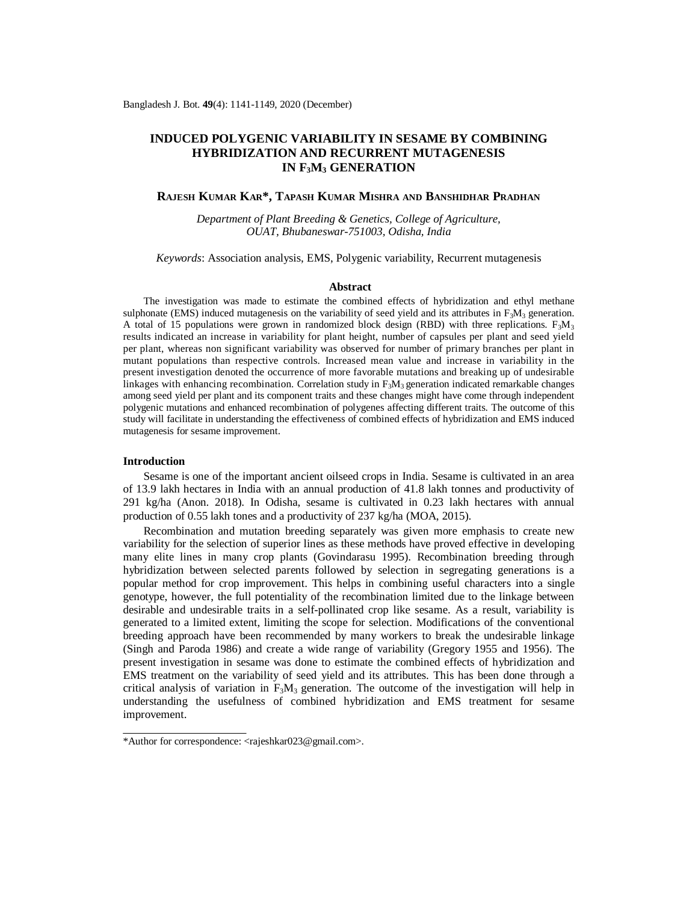# **INDUCED POLYGENIC VARIABILITY IN SESAME BY COMBINING HYBRIDIZATION AND RECURRENT MUTAGENESIS IN F3M<sup>3</sup> GENERATION**

## **RAJESH KUMAR KAR\*, TAPASH KUMAR MISHRA AND BANSHIDHAR PRADHAN**

*Department of Plant Breeding & Genetics, College of Agriculture, OUAT, Bhubaneswar-751003, Odisha, India*

*Keywords*: Association analysis, EMS, Polygenic variability, Recurrent mutagenesis

#### **Abstract**

The investigation was made to estimate the combined effects of hybridization and ethyl methane sulphonate (EMS) induced mutagenesis on the variability of seed yield and its attributes in  $F_3M_3$  generation. A total of 15 populations were grown in randomized block design (RBD) with three replications.  $F_3M_3$ results indicated an increase in variability for plant height, number of capsules per plant and seed yield per plant, whereas non significant variability was observed for number of primary branches per plant in mutant populations than respective controls. Increased mean value and increase in variability in the present investigation denoted the occurrence of more favorable mutations and breaking up of undesirable linkages with enhancing recombination. Correlation study in  $F_3M_3$  generation indicated remarkable changes among seed yield per plant and its component traits and these changes might have come through independent polygenic mutations and enhanced recombination of polygenes affecting different traits. The outcome of this study will facilitate in understanding the effectiveness of combined effects of hybridization and EMS induced mutagenesis for sesame improvement.

### **Introduction**

Sesame is one of the important ancient oilseed crops in India. Sesame is cultivated in an area of 13.9 lakh hectares in India with an annual production of 41.8 lakh tonnes and productivity of 291 kg/ha (Anon. 2018). In Odisha, sesame is cultivated in 0.23 lakh hectares with annual production of 0.55 lakh tones and a productivity of 237 kg/ha (MOA, 2015).

Recombination and mutation breeding separately was given more emphasis to create new variability for the selection of superior lines as these methods have proved effective in developing many elite lines in many crop plants (Govindarasu 1995). Recombination breeding through hybridization between selected parents followed by selection in segregating generations is a popular method for crop improvement. This helps in combining useful characters into a single genotype, however, the full potentiality of the recombination limited due to the linkage between desirable and undesirable traits in a self-pollinated crop like sesame. As a result, variability is generated to a limited extent, limiting the scope for selection. Modifications of the conventional breeding approach have been recommended by many workers to break the undesirable linkage (Singh and Paroda 1986) and create a wide range of variability (Gregory 1955 and 1956). The present investigation in sesame was done to estimate the combined effects of hybridization and EMS treatment on the variability of seed yield and its attributes. This has been done through a critical analysis of variation in  $F_3M_3$  generation. The outcome of the investigation will help in understanding the usefulness of combined hybridization and EMS treatment for sesame improvement.

<sup>\*</sup>Author for correspondence: [<rajeshkar023@gmail.com](mailto:rajeshkar023@gmail.com)>.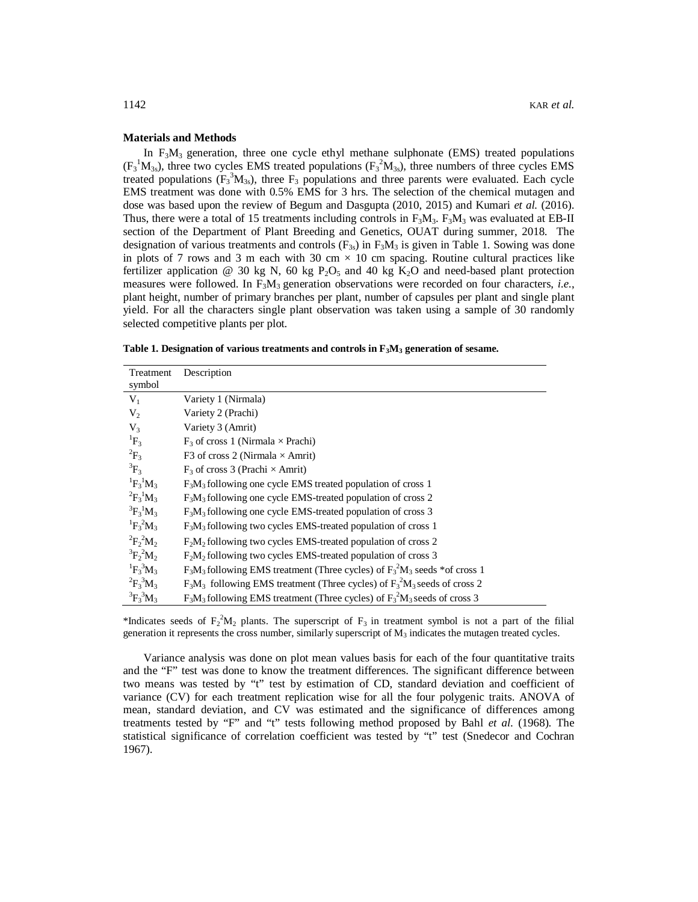### **Materials and Methods**

In  $F_3M_3$  generation, three one cycle ethyl methane sulphonate (EMS) treated populations  $(F_3^1M_{3s})$ , three two cycles EMS treated populations  $(F_3^2M_{3s})$ , three numbers of three cycles EMS treated populations  $(F_3^3M_{3s})$ , three  $F_3$  populations and three parents were evaluated. Each cycle EMS treatment was done with 0.5% EMS for 3 hrs. The selection of the chemical mutagen and dose was based upon the review of Begum and Dasgupta (2010, 2015) and Kumari *et al.* (2016). Thus, there were a total of 15 treatments including controls in  $F_3M_3$ .  $F_3M_3$  was evaluated at EB-II section of the Department of Plant Breeding and Genetics, OUAT during summer, 2018. The designation of various treatments and controls  $(F_{3s})$  in  $F_3M_3$  is given in Table 1. Sowing was done in plots of 7 rows and 3 m each with 30 cm  $\times$  10 cm spacing. Routine cultural practices like fertilizer application @ 30 kg N, 60 kg  $P_2O_5$  and 40 kg K<sub>2</sub>O and need-based plant protection measures were followed. In  $F_3M_3$  generation observations were recorded on four characters, *i.e.*, plant height, number of primary branches per plant, number of capsules per plant and single plant yield. For all the characters single plant observation was taken using a sample of 30 randomly selected competitive plants per plot.

|  |  |  | Table 1. Designation of various treatments and controls in $F_3M_3$ generation of sesame. |
|--|--|--|-------------------------------------------------------------------------------------------|
|--|--|--|-------------------------------------------------------------------------------------------|

| Treatment                      | Description                                                                     |
|--------------------------------|---------------------------------------------------------------------------------|
| symbol                         |                                                                                 |
| $V_1$                          | Variety 1 (Nirmala)                                                             |
| $V_2$                          | Variety 2 (Prachi)                                                              |
| $V_3$                          | Variety 3 (Amrit)                                                               |
| ${}^{1}F_3$                    | $F_3$ of cross 1 (Nirmala $\times$ Prachi)                                      |
| ${}^{2}F_{3}$                  | F3 of cross 2 (Nirmala $\times$ Amrit)                                          |
| ${}^3F_3$                      | $F_3$ of cross 3 (Prachi $\times$ Amrit)                                        |
| ${}^{1}F_{3}{}^{1}M_{3}$       | $F3M3$ following one cycle EMS treated population of cross 1                    |
| ${}^{2}F_{3}{}^{1}M_{3}$       | $F3M3$ following one cycle EMS-treated population of cross 2                    |
| ${}^{3}F_{3}{}^{1}M_{3}$       | $F3M3$ following one cycle EMS-treated population of cross 3                    |
| ${}^{1}F_{3} {}^{2}M_{3}$      | $F3M3$ following two cycles EMS-treated population of cross 1                   |
| ${}^{2}F_{2}{}^{2}M_{2}$       | $F2M2$ following two cycles EMS-treated population of cross 2                   |
| ${}^3\text{F}_2{}^2\text{M}_2$ | $F2M2$ following two cycles EMS-treated population of cross 3                   |
| ${}^{1}F_{3}{}^{3}M_{3}$       | $F_3M_3$ following EMS treatment (Three cycles) of $F_3^2M_3$ seeds *of cross 1 |
| ${}^{2}F_{3}{}^{3}M_{3}$       | $F_3M_3$ following EMS treatment (Three cycles) of $F_3^2M_3$ seeds of cross 2  |
| ${}^{3}F_{3}{}^{3}M_{3}$       | $F_3M_3$ following EMS treatment (Three cycles) of $F_3^2M_3$ seeds of cross 3  |

\*Indicates seeds of  $F_2^2M_2$  plants. The superscript of  $F_3$  in treatment symbol is not a part of the filial generation it represents the cross number, similarly superscript of  $M<sub>3</sub>$  indicates the mutagen treated cycles.

Variance analysis was done on plot mean values basis for each of the four quantitative traits and the "F" test was done to know the treatment differences. The significant difference between two means was tested by "t" test by estimation of CD, standard deviation and coefficient of variance (CV) for each treatment replication wise for all the four polygenic traits. ANOVA of mean, standard deviation, and CV was estimated and the significance of differences among treatments tested by "F" and "t" tests following method proposed by Bahl *et al*. (1968). The statistical significance of correlation coefficient was tested by "t" test (Snedecor and Cochran 1967).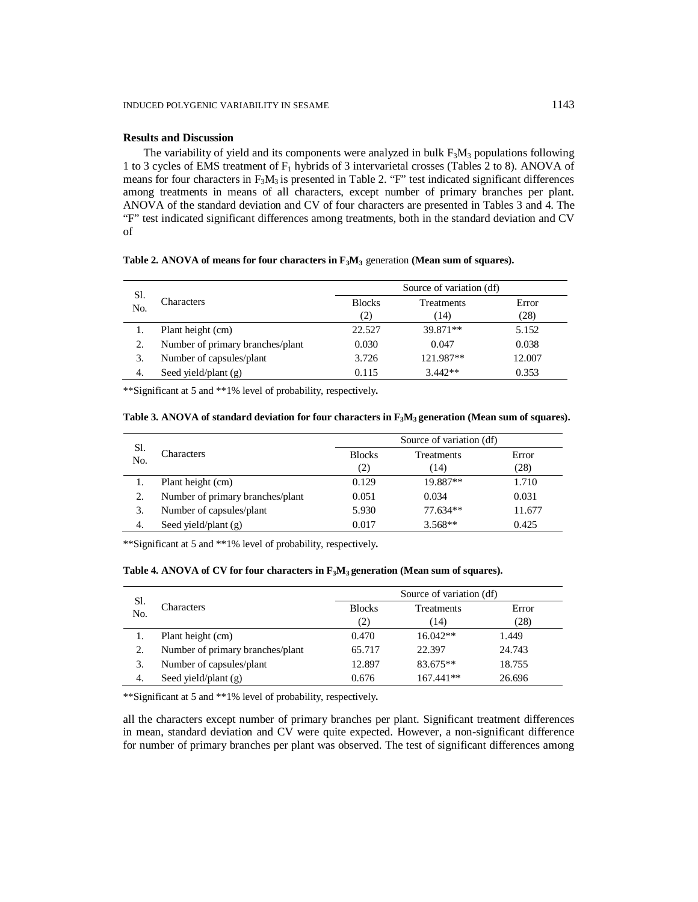# **Results and Discussion**

The variability of yield and its components were analyzed in bulk  $F_3M_3$  populations following 1 to 3 cycles of EMS treatment of  $F_1$  hybrids of 3 intervarietal crosses (Tables 2 to 8). ANOVA of means for four characters in  $F_3M_3$  is presented in Table 2. "F" test indicated significant differences among treatments in means of all characters, except number of primary branches per plant. ANOVA of the standard deviation and CV of four characters are presented in Tables 3 and 4. The "F" test indicated significant differences among treatments, both in the standard deviation and CV of

**Table 2. ANOVA of means for four characters in F3M<sup>3</sup>** generation **(Mean sum of squares).**

| Sl.<br>No. | Characters                       |               | Source of variation (df) |        |  |  |
|------------|----------------------------------|---------------|--------------------------|--------|--|--|
|            |                                  | <b>Blocks</b> | <b>Treatments</b>        | Error  |  |  |
|            |                                  | (2)           | (14)                     | (28)   |  |  |
|            | Plant height (cm)                | 22.527        | 39.871**                 | 5.152  |  |  |
| 2.         | Number of primary branches/plant | 0.030         | 0.047                    | 0.038  |  |  |
| 3.         | Number of capsules/plant         | 3.726         | 121.987**                | 12.007 |  |  |
| -4.        | Seed yield/plant $(g)$           | 0.115         | $3.442**$                | 0.353  |  |  |

\*\*Significant at 5 and \*\*1% level of probability, respectively**.**

| Table 3. ANOVA of standard deviation for four characters in $F_3M_3$ generation (Mean sum of squares). |  |  |
|--------------------------------------------------------------------------------------------------------|--|--|
|--------------------------------------------------------------------------------------------------------|--|--|

| Sl. | Characters                       |               | Source of variation (df) |        |  |  |
|-----|----------------------------------|---------------|--------------------------|--------|--|--|
| No. |                                  | <b>Blocks</b> | <b>Treatments</b>        | Error  |  |  |
|     |                                  | (2)           | (14)                     | (28)   |  |  |
|     | Plant height (cm)                | 0.129         | 19.887**                 | 1.710  |  |  |
| 2.  | Number of primary branches/plant | 0.051         | 0.034                    | 0.031  |  |  |
| 3.  | Number of capsules/plant         | 5.930         | 77.634**                 | 11.677 |  |  |
| 4.  | Seed yield/plant $(g)$           | 0.017         | $3.568**$                | 0.425  |  |  |

\*\*Significant at 5 and \*\*1% level of probability, respectively**.**

# **Table 4. ANOVA of CV for four characters in F3M3 generation (Mean sum of squares).**

| Sl.<br>No. | Characters                       |               | Source of variation (df) |        |  |  |
|------------|----------------------------------|---------------|--------------------------|--------|--|--|
|            |                                  | <b>Blocks</b> | <b>Treatments</b>        | Error  |  |  |
|            |                                  | (2)           | (14)                     | (28)   |  |  |
|            | Plant height (cm)                | 0.470         | $16.042**$               | 1.449  |  |  |
| 2.         | Number of primary branches/plant | 65.717        | 22.397                   | 24.743 |  |  |
| 3.         | Number of capsules/plant         | 12.897        | 83.675**                 | 18.755 |  |  |
| 4.         | Seed yield/plant $(g)$           | 0.676         | 167.441**                | 26.696 |  |  |

\*\*Significant at 5 and \*\*1% level of probability, respectively**.**

all the characters except number of primary branches per plant. Significant treatment differences in mean, standard deviation and CV were quite expected. However, a non-significant difference for number of primary branches per plant was observed. The test of significant differences among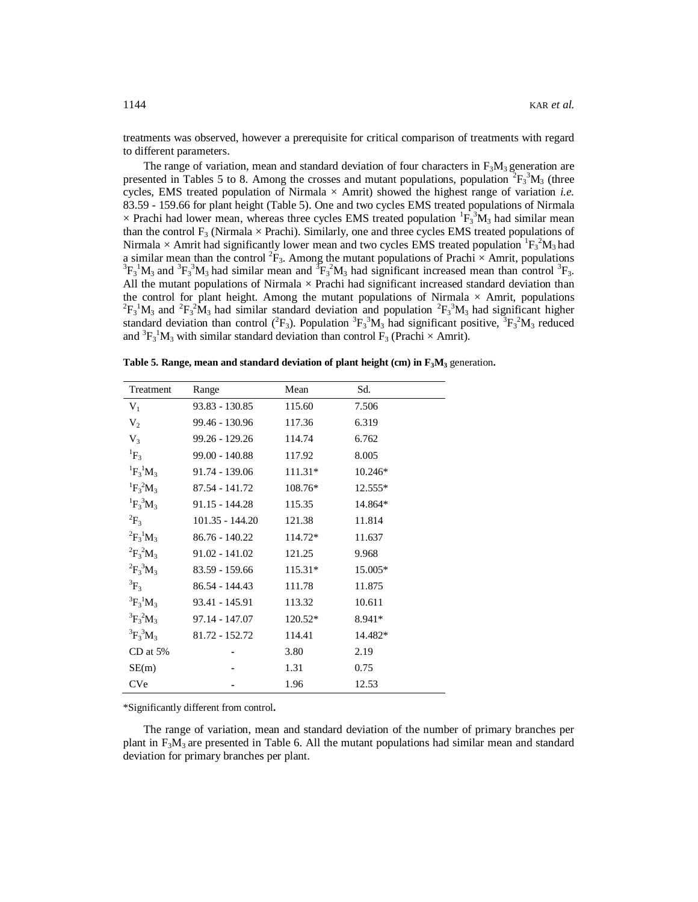treatments was observed, however a prerequisite for critical comparison of treatments with regard to different parameters.

The range of variation, mean and standard deviation of four characters in  $F_3M_3$  generation are presented in Tables 5 to 8. Among the crosses and mutant populations, population  ${}^{2}F_{3}^{3}M_{3}$  (three cycles, EMS treated population of Nirmala × Amrit) showed the highest range of variation *i.e.* 83.59 - 159.66 for plant height (Table 5). One and two cycles EMS treated populations of Nirmala  $\times$  Prachi had lower mean, whereas three cycles EMS treated population  ${}^{1}F_{3}^{3}\tilde{M}_{3}$  had similar mean than the control  $F_3$  (Nirmala  $\times$  Prachi). Similarly, one and three cycles EMS treated populations of Nirmala  $\times$  Amrit had significantly lower mean and two cycles EMS treated population  ${}^{1}F_{3}{}^{2}M_{3}$  had a similar mean than the control  ${}^{2}F_{3}$ . Among the mutant populations of Prachi  $\times$  Amrit, populations  ${}^{3}F_{3} {}^{1}M_{3}$  and  ${}^{3}F_{3} {}^{3}M_{3}$  had similar mean and  ${}^{3}F_{3} {}^{2}M_{3}$  had significant increased mean than control  ${}^{3}F_{3}$ . All the mutant populations of Nirmala  $\times$  Prachi had significant increased standard deviation than the control for plant height. Among the mutant populations of Nirmala  $\times$  Amrit, populations  ${}^{2}F_{3} {}^{1}M_{3}$  and  ${}^{2}F_{3} {}^{2}M_{3}$  had similar standard deviation and population  ${}^{2}F_{3} {}^{3}M_{3}$  had significant higher standard deviation than control  $(^{2}F_{3})$ . Population  $^{3}F_{3}^{3}M_{3}$  had significant positive,  $^{3}F_{3}^{2}M_{3}$  reduced and  ${}^{3}F_{3} {}^{1}M_{3}$  with similar standard deviation than control  $F_{3}$  (Prachi  $\times$  Amrit).

| Treatment                 | Range             | Mean      | Sd.       |
|---------------------------|-------------------|-----------|-----------|
| $V_1$                     | 93.83 - 130.85    | 115.60    | 7.506     |
| V <sub>2</sub>            | 99.46 - 130.96    | 117.36    | 6.319     |
| V <sub>3</sub>            | 99.26 - 129.26    | 114.74    | 6.762     |
| ${}^{1}F_3$               | $99.00 - 140.88$  | 117.92    | 8.005     |
| ${}^{1}F_{3}{}^{1}M_{3}$  | 91.74 - 139.06    | $111.31*$ | $10.246*$ |
| ${}^{1}F_{3} {}^{2}M_{3}$ | 87.54 - 141.72    | 108.76*   | 12.555*   |
| ${}^{1}F_{3}{}^{3}M_{3}$  | $91.15 - 144.28$  | 115.35    | 14.864*   |
| ${}^2\text{F}_3$          | $101.35 - 144.20$ | 121.38    | 11.814    |
| ${}^{2}F_{3}{}^{1}M_{3}$  | 86.76 - 140.22    | 114.72*   | 11.637    |
| ${}^{2}F_{3}{}^{2}M_{3}$  | $91.02 - 141.02$  | 121.25    | 9.968     |
| ${}^{2}F_{3}{}^{3}M_{3}$  | 83.59 - 159.66    | $115.31*$ | 15.005*   |
| ${}^3F_3$                 | 86.54 - 144.43    | 111.78    | 11.875    |
| ${}^{3}F_{3}{}^{1}M_{3}$  | 93.41 - 145.91    | 113.32    | 10.611    |
| ${}^{3}F_{3} {}^{2}M_{3}$ | 97.14 - 147.07    | $120.52*$ | 8.941*    |
| ${}^{3}F_{3}{}^{3}M_{3}$  | 81.72 - 152.72    | 114.41    | 14.482*   |
| $CD$ at $5%$              |                   | 3.80      | 2.19      |
| SE(m)                     |                   | 1.31      | 0.75      |
| <b>CVe</b>                |                   | 1.96      | 12.53     |

**Table 5. Range, mean and standard deviation of plant height (cm) in F3M<sup>3</sup>** generation**.**

\*Significantly different from control**.**

The range of variation, mean and standard deviation of the number of primary branches per plant in  $F_3M_3$  are presented in Table 6. All the mutant populations had similar mean and standard deviation for primary branches per plant.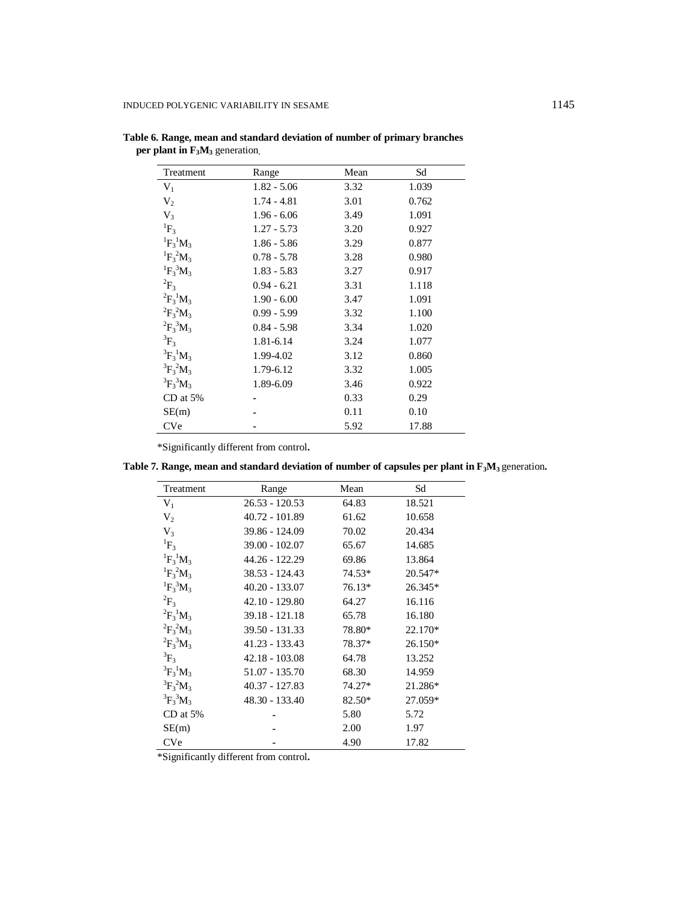| Treatment                 | Range         | Mean | Sd    |
|---------------------------|---------------|------|-------|
| $V_1$                     | $1.82 - 5.06$ | 3.32 | 1.039 |
| V <sub>2</sub>            | $1.74 - 4.81$ | 3.01 | 0.762 |
| $V_3$                     | $1.96 - 6.06$ | 3.49 | 1.091 |
| ${}^{1}F_3$               | $1.27 - 5.73$ | 3.20 | 0.927 |
| ${}^{1}F_{3}{}^{1}M_{3}$  | $1.86 - 5.86$ | 3.29 | 0.877 |
| ${}^{1}F_{3} {}^{2}M_{3}$ | $0.78 - 5.78$ | 3.28 | 0.980 |
| ${}^{1}F_{3}{}^{3}M_{3}$  | $1.83 - 5.83$ | 3.27 | 0.917 |
| $^{2}F_{3}$               | $0.94 - 6.21$ | 3.31 | 1.118 |
| ${}^{2}F_{3}{}^{1}M_{3}$  | $1.90 - 6.00$ | 3.47 | 1.091 |
| ${}^{2}F_{3} {}^{2}M_{3}$ | $0.99 - 5.99$ | 3.32 | 1.100 |
| ${}^{2}F_{3}{}^{3}M_{3}$  | $0.84 - 5.98$ | 3.34 | 1.020 |
| ${}^3F_3$                 | 1.81-6.14     | 3.24 | 1.077 |
| ${}^{3}F_{3}{}^{1}M_{3}$  | 1.99-4.02     | 3.12 | 0.860 |
| ${}^{3}F_{3} {}^{2}M_{3}$ | 1.79-6.12     | 3.32 | 1.005 |
| ${}^{3}F_{3}{}^{3}M_{3}$  | 1.89-6.09     | 3.46 | 0.922 |
| $CD$ at $5%$              |               | 0.33 | 0.29  |
| SE(m)                     |               | 0.11 | 0.10  |
| <b>CVe</b>                |               | 5.92 | 17.88 |

**Table 6. Range, mean and standard deviation of number of primary branches per plant in F3M<sup>3</sup>** generation**.**

\*Significantly different from control**.**

**Table 7. Range, mean and standard deviation of number of capsules per plant in F3M3** generation**.**

| Treatment                 | Range            | Mean   | Sd      |
|---------------------------|------------------|--------|---------|
| $V_1$                     | $26.53 - 120.53$ | 64.83  | 18.521  |
| $V_2$                     | 40.72 - 101.89   | 61.62  | 10.658  |
| V <sub>3</sub>            | 39.86 - 124.09   | 70.02  | 20.434  |
| ${}^{1}F_3$               | $39.00 - 102.07$ | 65.67  | 14.685  |
| ${}^{1}F_{3}{}^{1}M_{3}$  | 44.26 - 122.29   | 69.86  | 13.864  |
| ${}^{1}F_{3} {}^{2}M_{3}$ | 38.53 - 124.43   | 74.53* | 20.547* |
| ${}^{1}F_{3}{}^{3}M_{3}$  | $40.20 - 133.07$ | 76.13* | 26.345* |
| $^{2}F_{3}$               | 42.10 - 129.80   | 64.27  | 16.116  |
| ${}^{2}F_{3}{}^{1}M_{3}$  | 39.18 - 121.18   | 65.78  | 16.180  |
| ${}^{2}F_{3}{}^{2}M_{3}$  | 39.50 - 131.33   | 78.80* | 22.170* |
| ${}^{2}F_{3}{}^{3}M_{3}$  | 41.23 - 133.43   | 78.37* | 26.150* |
| ${}^3F_3$                 | $42.18 - 103.08$ | 64.78  | 13.252  |
| ${}^{3}F_{3}{}^{1}M_{3}$  | 51.07 - 135.70   | 68.30  | 14.959  |
| ${}^{3}F_{3} {}^{2}M_{3}$ | 40.37 - 127.83   | 74.27* | 21.286* |
| ${}^{3}F_{3}{}^{3}M_{3}$  | 48.30 - 133.40   | 82.50* | 27.059* |
| $CD$ at 5%                |                  | 5.80   | 5.72    |
| SE(m)                     |                  | 2.00   | 1.97    |
| <b>CVe</b>                |                  | 4.90   | 17.82   |

\*Significantly different from control**.**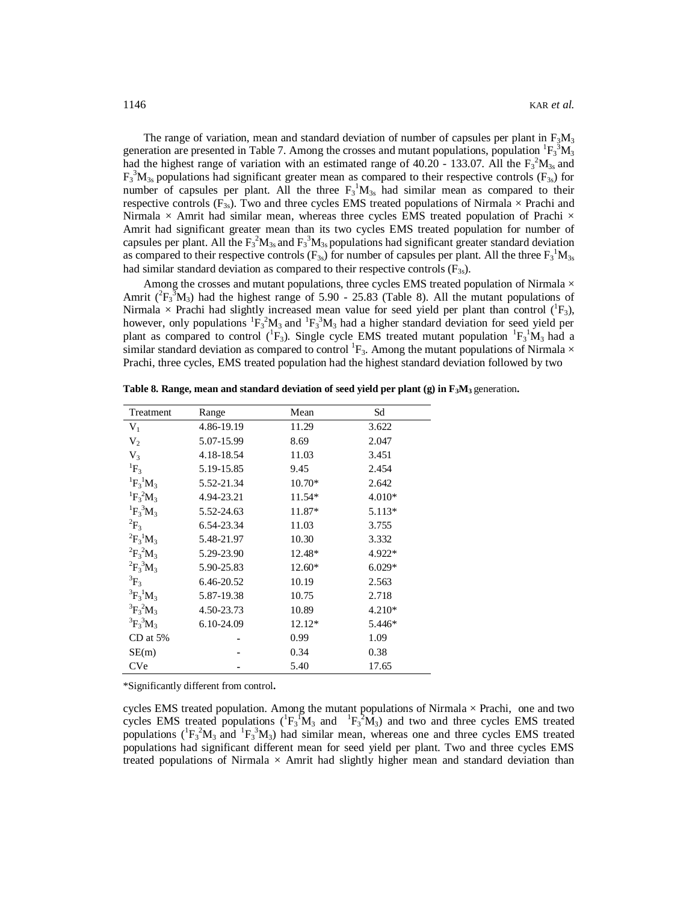The range of variation, mean and standard deviation of number of capsules per plant in  $F_3M_3$ generation are presented in Table 7. Among the crosses and mutant populations, population  ${}^{1}F_{3}^{3}M_{3}$ had the highest range of variation with an estimated range of 40.20 - 133.07. All the  $F_3^2M_{3s}$  and  $F_3$ <sup>3</sup> $M_{3s}$  populations had significant greater mean as compared to their respective controls ( $F_{3s}$ ) for number of capsules per plant. All the three  $F_3^1M_{3s}$  had similar mean as compared to their respective controls  $(F_{3s})$ . Two and three cycles EMS treated populations of Nirmala  $\times$  Prachi and Nirmala  $\times$  Amrit had similar mean, whereas three cycles EMS treated population of Prachi  $\times$ Amrit had significant greater mean than its two cycles EMS treated population for number of capsules per plant. All the  $F_3^2M_{3s}$  and  $F_3^3M_{3s}$  populations had significant greater standard deviation as compared to their respective controls ( $F_{3s}$ ) for number of capsules per plant. All the three  $F_3$ <sup>1</sup> $M_{3s}$ had similar standard deviation as compared to their respective controls  $(F_{3s})$ .

Among the crosses and mutant populations, three cycles EMS treated population of Nirmala  $\times$ Amrit ( ${}^{2}F_{3}^{3}M_{3}$ ) had the highest range of 5.90 - 25.83 (Table 8). All the mutant populations of Nirmala  $\times$  Prachi had slightly increased mean value for seed yield per plant than control ( ${}^{1}F_{3}$ ), however, only populations  ${}^{1}F_{3} {}^{2}M_{3}$  and  ${}^{1}F_{3} {}^{3}M_{3}$  had a higher standard deviation for seed yield per plant as compared to control ( ${}^{1}F_{3}$ ). Single cycle EMS treated mutant population  ${}^{1}F_{3}{}^{1}M_{3}$  had a similar standard deviation as compared to control  ${}^{1}F_{3}$ . Among the mutant populations of Nirmala  $\times$ Prachi, three cycles, EMS treated population had the highest standard deviation followed by two

| Treatment                 | Range      | Mean     | Sd       |
|---------------------------|------------|----------|----------|
| $V_1$                     | 4.86-19.19 | 11.29    | 3.622    |
| V <sub>2</sub>            | 5.07-15.99 | 8.69     | 2.047    |
| V <sub>3</sub>            | 4.18-18.54 | 11.03    | 3.451    |
| ${}^{1}F_{3}$             | 5.19-15.85 | 9.45     | 2.454    |
| ${}^{1}F_{3}{}^{1}M_{3}$  | 5.52-21.34 | $10.70*$ | 2.642    |
| ${}^{1}F_{3}{}^{2}M_{3}$  | 4.94-23.21 | 11.54*   | 4.010*   |
| ${}^{1}F_{3}{}^{3}M_{3}$  | 5.52-24.63 | 11.87*   | $5.113*$ |
| ${}^{2}F_{3}$             | 6.54-23.34 | 11.03    | 3.755    |
| ${}^{2}F_{3}{}^{1}M_{3}$  | 5.48-21.97 | 10.30    | 3.332    |
| ${}^{2}F_{3}{}^{2}M_{3}$  | 5.29-23.90 | 12.48*   | 4.922*   |
| ${}^{2}F_{3}{}^{3}M_{3}$  | 5.90-25.83 | $12.60*$ | $6.029*$ |
| ${}^3F_3$                 | 6.46-20.52 | 10.19    | 2.563    |
| ${}^{3}F_{3}{}^{1}M_{3}$  | 5.87-19.38 | 10.75    | 2.718    |
| ${}^{3}F_{3} {}^{2}M_{3}$ | 4.50-23.73 | 10.89    | $4.210*$ |
| ${}^{3}F_{3}{}^{3}M_{3}$  | 6.10-24.09 | 12.12*   | 5.446*   |
| $CD$ at 5%                |            | 0.99     | 1.09     |
| SE(m)                     |            | 0.34     | 0.38     |
| <b>CVe</b>                |            | 5.40     | 17.65    |

**Table 8. Range, mean and standard deviation of seed yield per plant (g) in F3M<sup>3</sup>** generation**.**

\*Significantly different from control**.**

cycles EMS treated population. Among the mutant populations of Nirmala  $\times$  Prachi, one and two cycles EMS treated populations  $({}^1F_3{}^1M_3$  and  ${}^1F_3{}^2M_3)$  and two and three cycles EMS treated populations  $({}^{1}F_{3} {}^{2}M_{3}$  and  ${}^{1}F_{3} {}^{3}M_{3}$ ) had similar mean, whereas one and three cycles EMS treated populations had significant different mean for seed yield per plant. Two and three cycles EMS treated populations of Nirmala  $\times$  Amrit had slightly higher mean and standard deviation than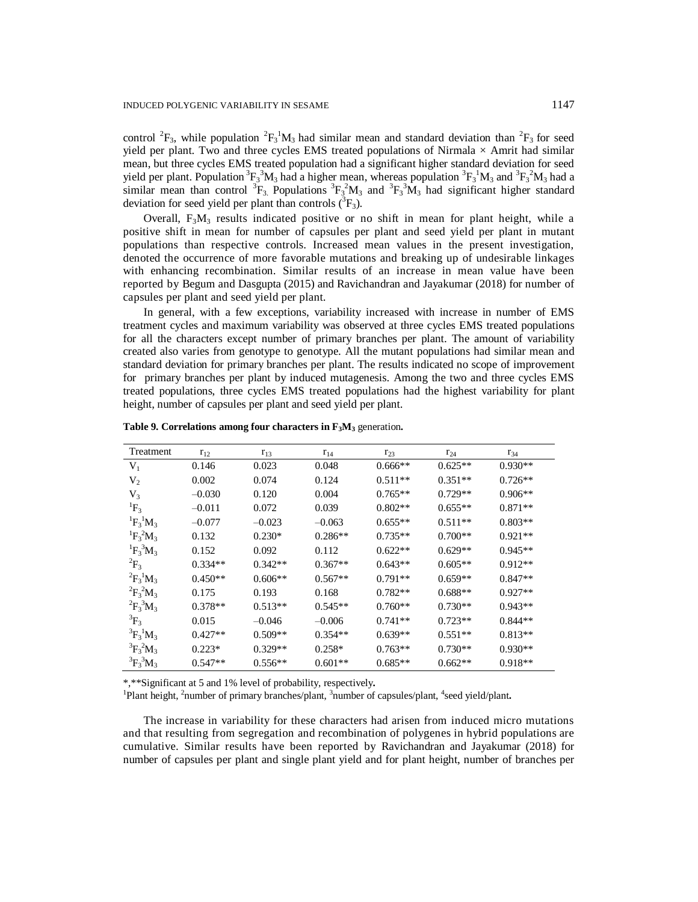control <sup>2</sup> $F_3$ , while population <sup>2</sup> $F_3$ <sup>1</sup> $M_3$  had similar mean and standard deviation than <sup>2</sup> $F_3$  for seed yield per plant. Two and three cycles EMS treated populations of Nirmala  $\times$  Amrit had similar mean, but three cycles EMS treated population had a significant higher standard deviation for seed yield per plant. Population  ${}^{3}F_{3} {}^{3}M_{3}$  had a higher mean, whereas population  ${}^{3}F_{3} {}^{1}M_{3}$  and  ${}^{3}F_{3} {}^{2}M_{3}$  had a similar mean than control  ${}^{3}F_{3}$  Populations  ${}^{3}F_{3} {}^{2}M_{3}$  and  ${}^{3}F_{3} {}^{3}M_{3}$  had significant higher standard deviation for seed yield per plant than controls  $({}^{3}F_{3})$ .

Overall,  $F_3M_3$  results indicated positive or no shift in mean for plant height, while a positive shift in mean for number of capsules per plant and seed yield per plant in mutant populations than respective controls. Increased mean values in the present investigation, denoted the occurrence of more favorable mutations and breaking up of undesirable linkages with enhancing recombination. Similar results of an increase in mean value have been reported by Begum and Dasgupta (2015) and Ravichandran and Jayakumar (2018) for number of capsules per plant and seed yield per plant.

In general, with a few exceptions, variability increased with increase in number of EMS treatment cycles and maximum variability was observed at three cycles EMS treated populations for all the characters except number of primary branches per plant. The amount of variability created also varies from genotype to genotype. All the mutant populations had similar mean and standard deviation for primary branches per plant. The results indicated no scope of improvement for primary branches per plant by induced mutagenesis. Among the two and three cycles EMS treated populations, three cycles EMS treated populations had the highest variability for plant height, number of capsules per plant and seed yield per plant.

| <b>Treatment</b>          | $r_{12}$  | $r_{13}$  | $r_{14}$  | $r_{23}$  | $r_{24}$  | $r_{34}$  |
|---------------------------|-----------|-----------|-----------|-----------|-----------|-----------|
| $V_1$                     | 0.146     | 0.023     | 0.048     | $0.666**$ | $0.625**$ | $0.930**$ |
| $V_2$                     | 0.002     | 0.074     | 0.124     | $0.511**$ | $0.351**$ | $0.726**$ |
| $V_3$                     | $-0.030$  | 0.120     | 0.004     | $0.765**$ | $0.729**$ | $0.906**$ |
| ${}^{1}F_3$               | $-0.011$  | 0.072     | 0.039     | $0.802**$ | $0.655**$ | $0.871**$ |
| ${}^{1}F_{3}{}^{1}M_{3}$  | $-0.077$  | $-0.023$  | $-0.063$  | $0.655**$ | $0.511**$ | $0.803**$ |
| ${}^{1}F_{3} {}^{2}M_{3}$ | 0.132     | $0.230*$  | $0.286**$ | $0.735**$ | $0.700**$ | $0.921**$ |
| ${}^{1}F_{3}{}^{3}M_{3}$  | 0.152     | 0.092     | 0.112     | $0.622**$ | $0.629**$ | $0.945**$ |
| ${}^2F_3$                 | $0.334**$ | $0.342**$ | $0.367**$ | $0.643**$ | $0.605**$ | $0.912**$ |
| ${}^{2}F_{3}{}^{1}M_{3}$  | $0.450**$ | $0.606**$ | $0.567**$ | $0.791**$ | $0.659**$ | $0.847**$ |
| ${}^{2}F_{3}{}^{2}M_{3}$  | 0.175     | 0.193     | 0.168     | $0.782**$ | $0.688**$ | $0.927**$ |
| ${}^{2}F_{3}{}^{3}M_{3}$  | $0.378**$ | $0.513**$ | $0.545**$ | $0.760**$ | $0.730**$ | $0.943**$ |
| ${}^3F_3$                 | 0.015     | $-0.046$  | $-0.006$  | $0.741**$ | $0.723**$ | $0.844**$ |
| ${}^{3}F_{3}{}^{1}M_{3}$  | $0.427**$ | $0.509**$ | $0.354**$ | $0.639**$ | $0.551**$ | $0.813**$ |
| ${}^{3}F_{3} {}^{2}M_{3}$ | $0.223*$  | $0.329**$ | $0.258*$  | $0.763**$ | $0.730**$ | $0.930**$ |
| ${}^{3}F_{3}{}^{3}M_{3}$  | $0.547**$ | $0.556**$ | $0.601**$ | $0.685**$ | $0.662**$ | $0.918**$ |

**Table 9. Correlations among four characters in F3M<sup>3</sup>** generation**.**

\*,\*\*Significant at 5 and 1% level of probability, respectively**.**

<sup>1</sup>Plant height, <sup>2</sup>number of primary branches/plant, <sup>3</sup>number of capsules/plant, <sup>4</sup>seed yield/plant.

The increase in variability for these characters had arisen from induced micro mutations and that resulting from segregation and recombination of polygenes in hybrid populations are cumulative. Similar results have been reported by Ravichandran and Jayakumar (2018) for number of capsules per plant and single plant yield and for plant height, number of branches per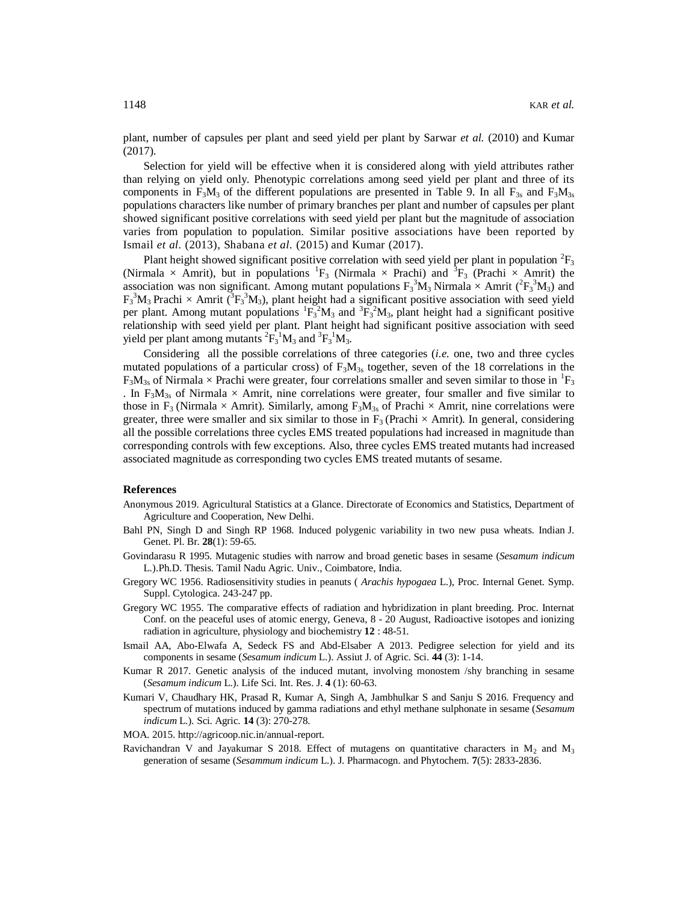plant, number of capsules per plant and seed yield per plant by Sarwar *et al.* (2010) and Kumar (2017).

Selection for yield will be effective when it is considered along with yield attributes rather than relying on yield only. Phenotypic correlations among seed yield per plant and three of its components in F<sub>3</sub>M<sub>3</sub> of the different populations are presented in Table 9. In all F<sub>3s</sub> and F<sub>3</sub>M<sub>3s</sub> populations characters like number of primary branches per plant and number of capsules per plant showed significant positive correlations with seed yield per plant but the magnitude of association varies from population to population. Similar positive associations have been reported by Ismail *et al.* (2013), Shabana *et al.* (2015) and Kumar (2017).

Plant height showed significant positive correlation with seed yield per plant in population  ${}^{2}F_{3}$ (Nirmala  $\times$  Amrit), but in populations <sup>1</sup>F<sub>3</sub> (Nirmala  $\times$  Prachi) and <sup>3</sup>F<sub>3</sub> (Prachi  $\times$  Amrit) the association was non significant. Among mutant populations  $F_3^3M_3$  Nirmala  $\times$  Amrit ( ${}^{2}F_3^3M_3$ ) and  $F_3^3M_3$  Prachi  $\times$  Amrit ( ${}^3F_3{}^3M_3$ ), plant height had a significant positive association with seed yield per plant. Among mutant populations  ${}^{1}F_{3}^{2}M_{3}$  and  ${}^{3}F_{3}^{2}M_{3}$ , plant height had a significant positive relationship with seed yield per plant. Plant height had significant positive association with seed yield per plant among mutants  ${}^{2}F_{3}^{1}M_{3}$  and  ${}^{3}F_{3}^{1}M_{3}$ .

Considering all the possible correlations of three categories (*i.e.* one, two and three cycles mutated populations of a particular cross) of  $F_3M_{3s}$  together, seven of the 18 correlations in the  $F_3M_{3s}$  of Nirmala  $\times$  Prachi were greater, four correlations smaller and seven similar to those in  ${}^{1}F_3$ . In  $F_3M_{3s}$  of Nirmala  $\times$  Amrit, nine correlations were greater, four smaller and five similar to those in  $F_3$  (Nirmala  $\times$  Amrit). Similarly, among  $F_3M_{3s}$  of Prachi  $\times$  Amrit, nine correlations were greater, three were smaller and six similar to those in  $F_3$  (Prachi  $\times$  Amrit). In general, considering all the possible correlations three cycles EMS treated populations had increased in magnitude than corresponding controls with few exceptions. Also, three cycles EMS treated mutants had increased associated magnitude as corresponding two cycles EMS treated mutants of sesame.

### **References**

- Anonymous 2019. Agricultural Statistics at a Glance. Directorate of Economics and Statistics, Department of Agriculture and Cooperation, New Delhi.
- Bahl PN, Singh D and Singh RP 1968. Induced polygenic variability in two new pusa wheats. Indian J. Genet. Pl. Br. **28**(1): 59-65.
- Govindarasu R 1995. Mutagenic studies with narrow and broad genetic bases in sesame (*Sesamum indicum* L.).Ph.D. Thesis. Tamil Nadu Agric. Univ., Coimbatore, India.
- Gregory WC 1956. Radiosensitivity studies in peanuts ( *Arachis hypogaea* L.), Proc. Internal Genet. Symp. Suppl. Cytologica. 243-247 pp.
- Gregory WC 1955. The comparative effects of radiation and hybridization in plant breeding. Proc. Internat Conf. on the peaceful uses of atomic energy, Geneva, 8 - 20 August, Radioactive isotopes and ionizing radiation in agriculture, physiology and biochemistry **12** : 48-51.
- Ismail AA, Abo-Elwafa A, Sedeck FS and Abd-Elsaber A 2013. Pedigree selection for yield and its components in sesame (*Sesamum indicum* L.). Assiut J. of Agric. Sci. **44** (3): 1-14.
- Kumar R 2017. Genetic analysis of the induced mutant, involving monostem /shy branching in sesame (*Sesamum indicum* L.). Life Sci. Int. Res. J. **4** (1): 60-63.
- Kumari V, Chaudhary HK, Prasad R, Kumar A, Singh A, Jambhulkar S and Sanju S 2016. Frequency and spectrum of mutations induced by gamma radiations and ethyl methane sulphonate in sesame (*Sesamum indicum* L.). Sci. Agric. **14** (3): 270-278.
- MOA. 2015.<http://agricoop.nic.in/annual-report.>
- Ravichandran V and Jayakumar S 2018. Effect of mutagens on quantitative characters in  $M_2$  and  $M_3$ generation of sesame (*Sesammum indicum* L.). J. Pharmacogn. and Phytochem. **7**(5): 2833-2836.